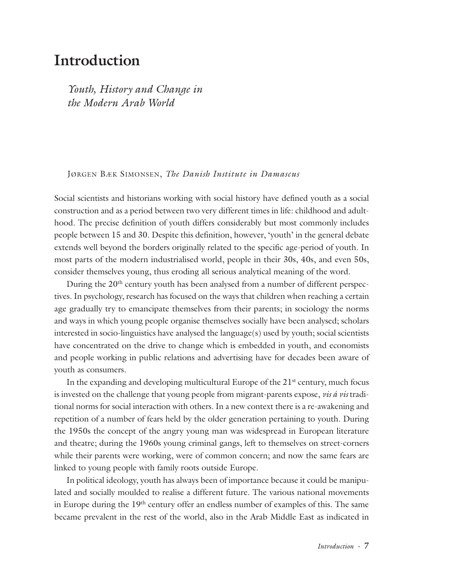## **Introduction**

*Youth, History and Change in the Modern Arab World*

JØRGEN BÆK SIMONSEN, *The Danish Institute in Damascus*

Social scientists and historians working with social history have defined youth as a social construction and as a period between two very different times in life: childhood and adulthood. The precise definition of youth differs considerably but most commonly includes people between 15 and 30. Despite this definition, however, 'youth' in the general debate extends well beyond the borders originally related to the specific age-period of youth. In most parts of the modern industrialised world, people in their 30s, 40s, and even 50s, consider themselves young, thus eroding all serious analytical meaning of the word.

During the  $20<sup>th</sup>$  century youth has been analysed from a number of different perspectives. In psychology, research has focused on the ways that children when reaching a certain age gradually try to emancipate themselves from their parents; in sociology the norms and ways in which young people organise themselves socially have been analysed; scholars interested in socio-linguistics have analysed the language $(s)$  used by youth; social scientists have concentrated on the drive to change which is embedded in youth, and economists and people working in public relations and advertising have for decades been aware of youth as consumers.

In the expanding and developing multicultural Europe of the  $21<sup>st</sup>$  century, much focus is invested on the challenge that young people from migrant-parents expose, *vis á vis* traditional norms for social interaction with others. In a new context there is a re-awakening and repetition of a number of fears held by the older generation pertaining to youth. During the 1950s the concept of the angry young man was widespread in European literature and theatre; during the 1960s young criminal gangs, left to themselves on street-corners while their parents were working, were of common concern; and now the same fears are linked to young people with family roots outside Europe.

 In political ideology, youth has always been of importance because it could be manipulated and socially moulded to realise a different future. The various national movements in Europe during the 19<sup>th</sup> century offer an endless number of examples of this. The same became prevalent in the rest of the world, also in the Arab Middle East as indicated in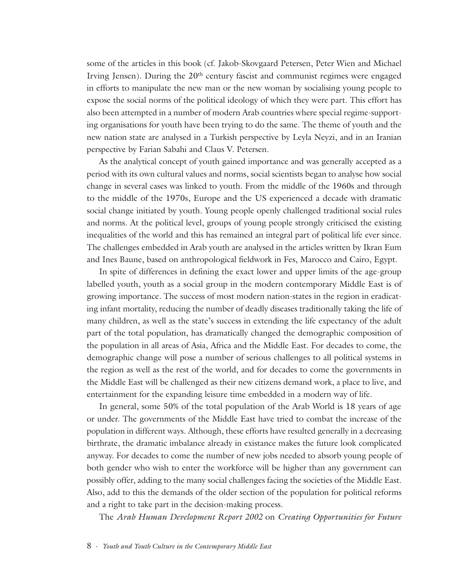some of the articles in this book (cf. Jakob-Skovgaard Petersen, Peter Wien and Michael Irving Jensen). During the  $20<sup>th</sup>$  century fascist and communist regimes were engaged in efforts to manipulate the new man or the new woman by socialising young people to expose the social norms of the political ideology of which they were part. This effort has also been attempted in a number of modern Arab countries where special regime-supporting organisations for youth have been trying to do the same. The theme of youth and the new nation state are analysed in a Turkish perspective by Leyla Neyzi, and in an Iranian perspective by Farian Sabahi and Claus V. Petersen.

 As the analytical concept of youth gained importance and was generally accepted as a period with its own cultural values and norms, social scientists began to analyse how social change in several cases was linked to youth. From the middle of the 1960s and through to the middle of the 1970s, Europe and the US experienced a decade with dramatic social change initiated by youth. Young people openly challenged traditional social rules and norms. At the political level, groups of young people strongly criticised the existing inequalities of the world and this has remained an integral part of political life ever since. The challenges embedded in Arab youth are analysed in the articles written by Ikran Eum and Ines Baune, based on anthropological fieldwork in Fes, Marocco and Cairo, Egypt.

 In spite of differences in defining the exact lower and upper limits of the age-group labelled youth, youth as a social group in the modern contemporary Middle East is of growing importance. The success of most modern nation-states in the region in eradicating infant mortality, reducing the number of deadly diseases traditionally taking the life of many children, as well as the state's success in extending the life expectancy of the adult part of the total population, has dramatically changed the demographic composition of the population in all areas of Asia, Africa and the Middle East. For decades to come, the demographic change will pose a number of serious challenges to all political systems in the region as well as the rest of the world, and for decades to come the governments in the Middle East will be challenged as their new citizens demand work, a place to live, and entertainment for the expanding leisure time embedded in a modern way of life.

 In general, some 50% of the total population of the Arab World is 18 years of age or under. The governments of the Middle East have tried to combat the increase of the population in different ways. Although, these efforts have resulted generally in a decreasing birthrate, the dramatic imbalance already in existance makes the future look complicated anyway. For decades to come the number of new jobs needed to absorb young people of both gender who wish to enter the workforce will be higher than any government can possibly offer, adding to the many social challenges facing the societies of the Middle East. Also, add to this the demands of the older section of the population for political reforms and a right to take part in the decision-making process.

The *Arab Human Development Report 2002* on *Creating Opportunities for Future*